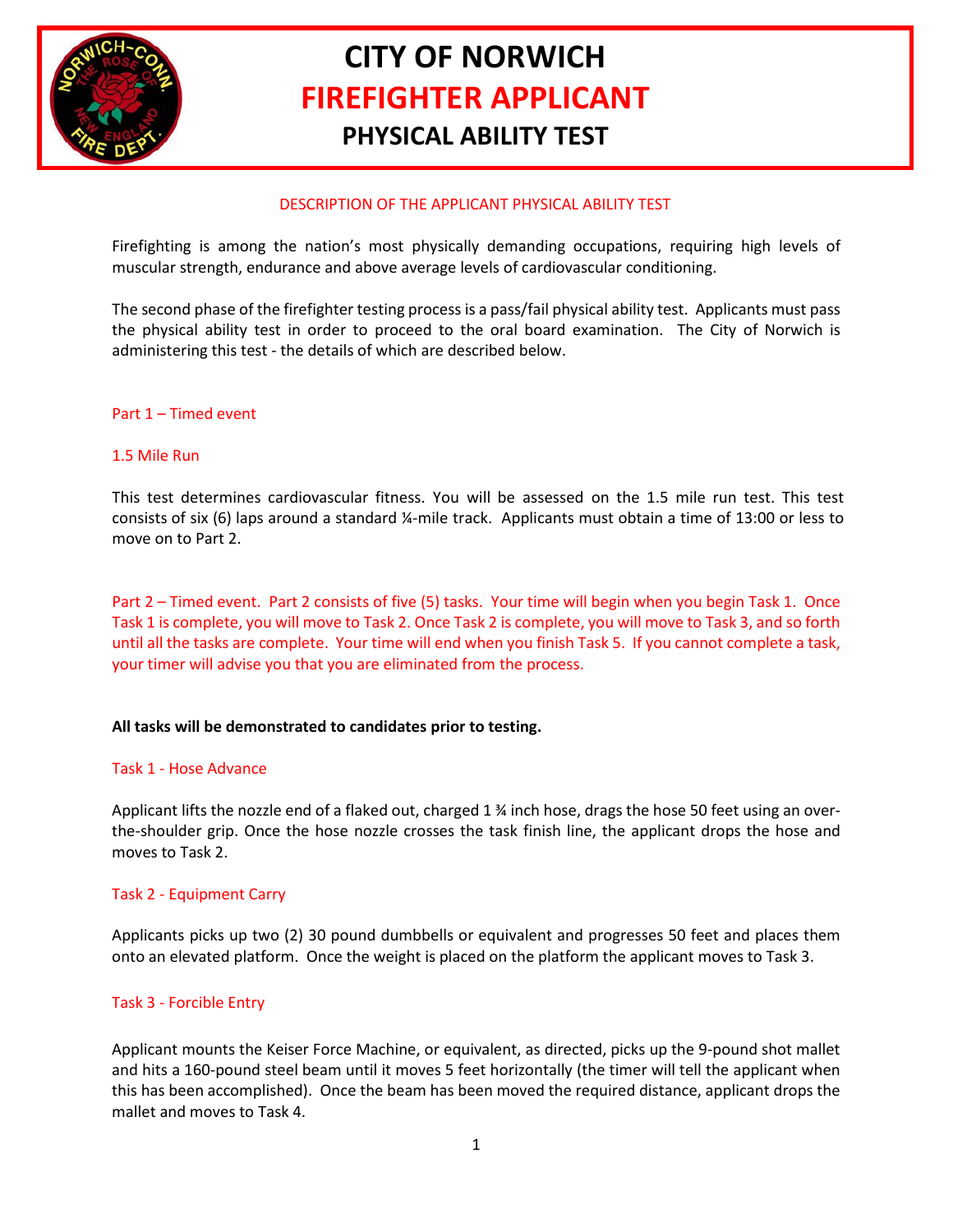

# **CITY OF NORWICH FIREFIGHTER APPLICANT PHYSICAL ABILITY TEST**

## DESCRIPTION OF THE APPLICANT PHYSICAL ABILITY TEST

Firefighting is among the nation's most physically demanding occupations, requiring high levels of muscular strength, endurance and above average levels of cardiovascular conditioning.

The second phase of the firefighter testing process is a pass/fail physical ability test. Applicants must pass the physical ability test in order to proceed to the oral board examination. The City of Norwich is administering this test - the details of which are described below.

## Part 1 – Timed event

#### 1.5 Mile Run

This test determines cardiovascular fitness. You will be assessed on the 1.5 mile run test. This test consists of six (6) laps around a standard ¼-mile track. Applicants must obtain a time of 13:00 or less to move on to Part 2.

Part 2 – Timed event. Part 2 consists of five (5) tasks. Your time will begin when you begin Task 1. Once Task 1 is complete, you will move to Task 2. Once Task 2 is complete, you will move to Task 3, and so forth until all the tasks are complete. Your time will end when you finish Task 5. If you cannot complete a task, your timer will advise you that you are eliminated from the process.

## **All tasks will be demonstrated to candidates prior to testing.**

#### Task 1 - Hose Advance

Applicant lifts the nozzle end of a flaked out, charged 1 % inch hose, drags the hose 50 feet using an overthe-shoulder grip. Once the hose nozzle crosses the task finish line, the applicant drops the hose and moves to Task 2.

## Task 2 - Equipment Carry

Applicants picks up two (2) 30 pound dumbbells or equivalent and progresses 50 feet and places them onto an elevated platform. Once the weight is placed on the platform the applicant moves to Task 3.

## Task 3 - Forcible Entry

Applicant mounts the Keiser Force Machine, or equivalent, as directed, picks up the 9-pound shot mallet and hits a 160-pound steel beam until it moves 5 feet horizontally (the timer will tell the applicant when this has been accomplished). Once the beam has been moved the required distance, applicant drops the mallet and moves to Task 4.